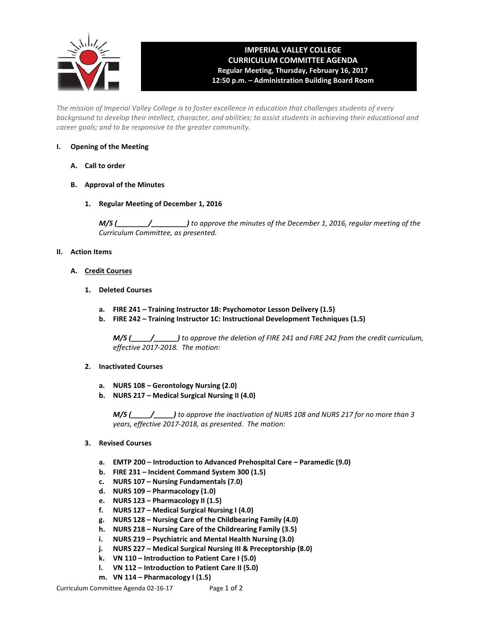

# **IMPERIAL VALLEY COLLEGE CURRICULUM COMMITTEE AGENDA Regular Meeting, Thursday, February 16, 2017 12:50 p.m. – Administration Building Board Room**

*The mission of Imperial Valley College is to foster excellence in education that challenges students of every background to develop their intellect, character, and abilities; to assist students in achieving their educational and career goals; and to be responsive to the greater community.*

### **I. Opening of the Meeting**

- **A. Call to order**
- **B. Approval of the Minutes**
	- **1. Regular Meeting of December 1, 2016**

*M/S (\_\_\_\_\_\_\_\_/\_\_\_\_\_\_\_\_\_) to approve the minutes of the December 1, 2016, regular meeting of the Curriculum Committee, as presented.* 

## **II. Action Items**

- **A. Credit Courses**
	- **1. Deleted Courses**
		- **a. FIRE 241 – Training Instructor 1B: Psychomotor Lesson Delivery (1.5)**
		- **b. FIRE 242 – Training Instructor 1C: Instructional Development Techniques (1.5)**

*M/S (\_\_\_\_\_/\_\_\_\_\_\_) to approve the deletion of FIRE 241 and FIRE 242 from the credit curriculum, effective 2017-2018. The motion:* 

- **2. Inactivated Courses**
	- **a. NURS 108 – Gerontology Nursing (2.0)**
	- **b. NURS 217 – Medical Surgical Nursing II (4.0)**

*M/S (\_\_\_\_\_/\_\_\_\_\_) to approve the inactivation of NURS 108 and NURS 217 for no more than 3 years, effective 2017-2018, as presented. The motion:*

- **3. Revised Courses**
	- **a. EMTP 200 – Introduction to Advanced Prehospital Care – Paramedic (9.0)**
	- **b. FIRE 231 – Incident Command System 300 (1.5)**
	- **c. NURS 107 – Nursing Fundamentals (7.0)**
	- **d. NURS 109 – Pharmacology (1.0)**
	- **e. NURS 123 – Pharmacology II (1.5)**
	- **f. NURS 127 – Medical Surgical Nursing I (4.0)**
	- **g. NURS 128 – Nursing Care of the Childbearing Family (4.0)**
	- **h. NURS 218 – Nursing Care of the Childrearing Family (3.5)**
	- **i. NURS 219 – Psychiatric and Mental Health Nursing (3.0)**
	- **j. NURS 227 – Medical Surgical Nursing III & Preceptorship (8.0)**
	- **k. VN 110 – Introduction to Patient Care I (5.0)**
	- **l. VN 112 – Introduction to Patient Care II (5.0)**
	- **m. VN 114 – Pharmacology I (1.5)**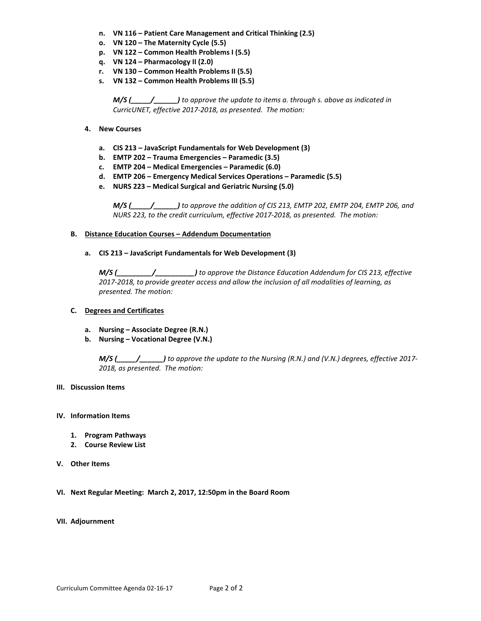- **n. VN 116 – Patient Care Management and Critical Thinking (2.5)**
- **o. VN 120 – The Maternity Cycle (5.5)**
- **p. VN 122 – Common Health Problems I (5.5)**
- **q. VN 124 – Pharmacology II (2.0)**
- **r. VN 130 – Common Health Problems II (5.5)**
- **s. VN 132 – Common Health Problems III (5.5)**

*M/S (\_\_\_\_\_/\_\_\_\_\_\_) to approve the update to items a. through s. above as indicated in CurricUNET, effective 2017-2018, as presented. The motion:*

- **4. New Courses**
	- **a. CIS 213 – JavaScript Fundamentals for Web Development (3)**
	- **b. EMTP 202 – Trauma Emergencies – Paramedic (3.5)**
	- **c. EMTP 204 – Medical Emergencies – Paramedic (6.0)**
	- **d. EMTP 206 – Emergency Medical Services Operations – Paramedic (5.5)**
	- **e. NURS 223 – Medical Surgical and Geriatric Nursing (5.0)**

*M/S (\_\_\_\_\_/\_\_\_\_\_\_) to approve the addition of CIS 213, EMTP 202, EMTP 204, EMTP 206, and NURS 223, to the credit curriculum, effective 2017-2018, as presented. The motion:*

### **B. Distance Education Courses – Addendum Documentation**

**a. CIS 213 – JavaScript Fundamentals for Web Development (3)**

*M/S (\_\_\_\_\_\_\_\_\_/\_\_\_\_\_\_\_\_\_\_) to approve the Distance Education Addendum for CIS 213, effective 2017-2018, to provide greater access and allow the inclusion of all modalities of learning, as presented. The motion:*

### **C. Degrees and Certificates**

- **a. Nursing – Associate Degree (R.N.)**
- **b. Nursing – Vocational Degree (V.N.)**

*M/S (\_\_\_\_\_/\_\_\_\_\_\_) to approve the update to the Nursing (R.N.) and (V.N.) degrees, effective 2017- 2018, as presented. The motion:*

### **III. Discussion Items**

### **IV. Information Items**

- **1. Program Pathways**
- **2. Course Review List**
- **V. Other Items**
- **VI. Next Regular Meeting: March 2, 2017, 12:50pm in the Board Room**

### **VII. Adjournment**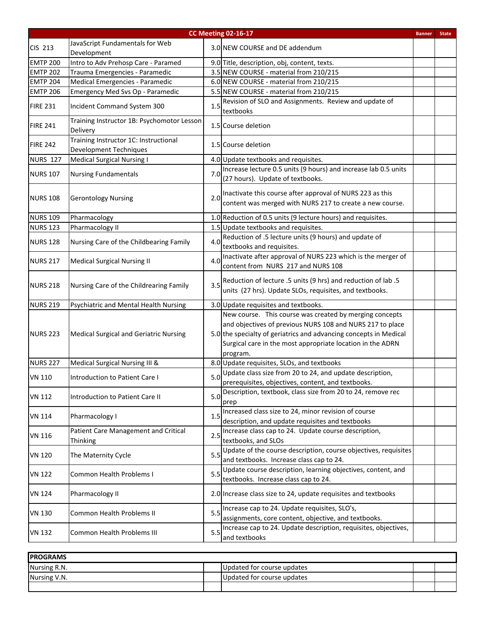| <b>CC Meeting 02-16-17</b><br><b>State</b><br><b>Banner</b> |                                                                        |     |                                                                                                                                                                                                                                                                     |  |  |  |
|-------------------------------------------------------------|------------------------------------------------------------------------|-----|---------------------------------------------------------------------------------------------------------------------------------------------------------------------------------------------------------------------------------------------------------------------|--|--|--|
| CIS 213                                                     | JavaScript Fundamentals for Web<br>Development                         |     | 3.0 NEW COURSE and DE addendum                                                                                                                                                                                                                                      |  |  |  |
| <b>EMTP 200</b>                                             | Intro to Adv Prehosp Care - Paramed                                    |     | 9.0 Title, description, obj, content, texts.                                                                                                                                                                                                                        |  |  |  |
| <b>EMTP 202</b>                                             | Trauma Emergencies - Paramedic                                         |     | 3.5 NEW COURSE - material from 210/215                                                                                                                                                                                                                              |  |  |  |
| <b>EMTP 204</b>                                             | Medical Emergencies - Paramedic                                        |     | 6.0 NEW COURSE - material from 210/215                                                                                                                                                                                                                              |  |  |  |
| <b>EMTP 206</b>                                             | Emergency Med Svs Op - Paramedic                                       |     | 5.5 NEW COURSE - material from 210/215                                                                                                                                                                                                                              |  |  |  |
| <b>FIRE 231</b>                                             | Incident Command System 300                                            | 1.5 | Revision of SLO and Assignments. Review and update of<br>textbooks                                                                                                                                                                                                  |  |  |  |
| <b>FIRE 241</b>                                             | Training Instructor 1B: Psychomotor Lesson<br>Delivery                 |     | 1.5 Course deletion                                                                                                                                                                                                                                                 |  |  |  |
| <b>FIRE 242</b>                                             | Training Instructor 1C: Instructional<br><b>Development Techniques</b> |     | 1.5 Course deletion                                                                                                                                                                                                                                                 |  |  |  |
| <b>NURS 127</b>                                             | <b>Medical Surgical Nursing I</b>                                      |     | 4.0 Update textbooks and requisites.                                                                                                                                                                                                                                |  |  |  |
| <b>NURS 107</b>                                             | <b>Nursing Fundamentals</b>                                            | 7.0 | Increase lecture 0.5 units (9 hours) and increase lab 0.5 units<br>(27 hours). Update of textbooks.                                                                                                                                                                 |  |  |  |
| <b>NURS 108</b>                                             | <b>Gerontology Nursing</b>                                             | 2.0 | Inactivate this course after approval of NURS 223 as this<br>content was merged with NURS 217 to create a new course.                                                                                                                                               |  |  |  |
| <b>NURS 109</b>                                             | Pharmacology                                                           |     | 1.0 Reduction of 0.5 units (9 lecture hours) and requisites.                                                                                                                                                                                                        |  |  |  |
| <b>NURS 123</b>                                             | Pharmacology II                                                        |     | 1.5 Update textbooks and requisites.                                                                                                                                                                                                                                |  |  |  |
| <b>NURS 128</b>                                             | Nursing Care of the Childbearing Family                                | 4.0 | Reduction of .5 lecture units (9 hours) and update of<br>textbooks and requisites.                                                                                                                                                                                  |  |  |  |
| <b>NURS 217</b>                                             | <b>Medical Surgical Nursing II</b>                                     | 4.0 | Inactivate after approval of NURS 223 which is the merger of<br>content from NURS 217 and NURS 108                                                                                                                                                                  |  |  |  |
| <b>NURS 218</b>                                             | Nursing Care of the Childrearing Family                                | 3.5 | Reduction of lecture .5 units (9 hrs) and reduction of lab .5<br>units (27 hrs). Update SLOs, requisites, and textbooks.                                                                                                                                            |  |  |  |
| <b>NURS 219</b>                                             | Psychiatric and Mental Health Nursing                                  |     | 3.0 Update requisites and textbooks.                                                                                                                                                                                                                                |  |  |  |
| <b>NURS 223</b>                                             | <b>Medical Surgical and Geriatric Nursing</b>                          |     | New course. This course was created by merging concepts<br>and objectives of previous NURS 108 and NURS 217 to place<br>5.0 the specialty of geriatrics and advancing concepts in Medical<br>Surgical care in the most appropriate location in the ADRN<br>program. |  |  |  |
| <b>NURS 227</b>                                             | Medical Surgical Nursing III &                                         |     | 8.0 Update requisites, SLOs, and textbooks                                                                                                                                                                                                                          |  |  |  |
| <b>VN 110</b>                                               | Introduction to Patient Care I                                         |     | 5.0 Update class size from 20 to 24, and update description,<br>prerequisites, objectives, content, and textbooks.                                                                                                                                                  |  |  |  |
| <b>VN 112</b>                                               | Introduction to Patient Care II                                        | 5.0 | Description, textbook, class size from 20 to 24, remove rec<br>prep                                                                                                                                                                                                 |  |  |  |
| VN 114                                                      | Pharmacology I                                                         | 1.5 | Increased class size to 24, minor revision of course<br>description, and update requisites and textbooks                                                                                                                                                            |  |  |  |
| <b>VN 116</b>                                               | Patient Care Management and Critical<br>Thinking                       | 2.5 | Increase class cap to 24. Update course description,<br>textbooks, and SLOs                                                                                                                                                                                         |  |  |  |
| <b>VN 120</b>                                               | The Maternity Cycle                                                    | 5.5 | Update of the course description, course objectives, requisites<br>and textbooks. Increase class cap to 24.                                                                                                                                                         |  |  |  |
| <b>VN 122</b>                                               | <b>Common Health Problems I</b>                                        | 5.5 | Update course description, learning objectives, content, and<br>textbooks. Increase class cap to 24.                                                                                                                                                                |  |  |  |
| VN 124                                                      | Pharmacology II                                                        |     | 2.0 Increase class size to 24, update requisites and textbooks                                                                                                                                                                                                      |  |  |  |
| <b>VN 130</b>                                               | <b>Common Health Problems II</b>                                       | 5.5 | Increase cap to 24. Update requisites, SLO's,<br>assignments, core content, objective, and textbooks.                                                                                                                                                               |  |  |  |
| <b>VN 132</b>                                               | <b>Common Health Problems III</b>                                      | 5.5 | Increase cap to 24. Update description, requisites, objectives,<br>and textbooks                                                                                                                                                                                    |  |  |  |

| <b>IPROGRAMS</b> |                             |  |  |  |  |  |  |  |
|------------------|-----------------------------|--|--|--|--|--|--|--|
| Nursing R.N.     | Updated for course updates  |  |  |  |  |  |  |  |
| Nursing V.N.     | IUpdated for course updates |  |  |  |  |  |  |  |
|                  |                             |  |  |  |  |  |  |  |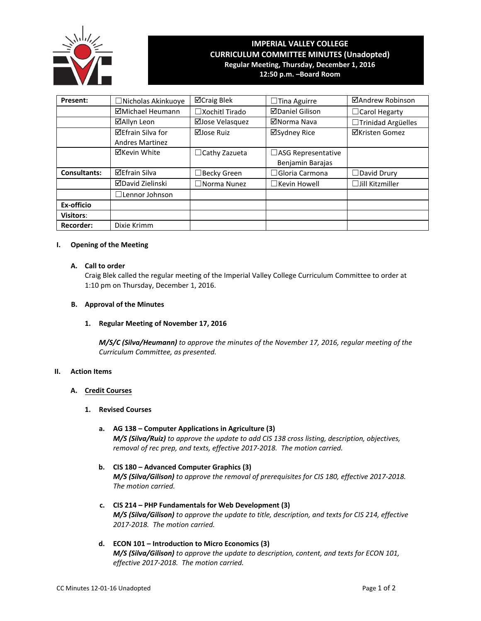

# **IMPERIAL VALLEY COLLEGE CURRICULUM COMMITTEE MINUTES (Unadopted) Regular Meeting, Thursday, December 1, 2016**

**12:50 p.m. –Board Room**

| Present:            | □ Nicholas Akinkuoye                               | ⊠Craig Blek              | $\Box$ Tina Aguirre                           | ⊠Andrew Robinson       |
|---------------------|----------------------------------------------------|--------------------------|-----------------------------------------------|------------------------|
|                     | ⊠Michael Heumann                                   | $\square$ Xochitl Tirado | <b>ØDaniel Gilison</b>                        | □ Carol Hegarty        |
|                     | ⊠Allyn Leon                                        | ⊠Jose Velasquez          | ⊠Norma Nava                                   | □Trinidad Argüelles    |
|                     | <b>⊠Efrain Silva for</b><br><b>Andres Martinez</b> | ⊠Jose Ruiz               | ⊠Sydney Rice                                  | ⊠Kristen Gomez         |
|                     | <b>⊠Kevin White</b>                                | $\Box$ Cathy Zazueta     | $\Box$ ASG Representative<br>Benjamin Barajas |                        |
| <b>Consultants:</b> | <b>⊠Efrain Silva</b>                               | $\Box$ Becky Green       | $\Box$ Gloria Carmona                         | $\Box$ David Drury     |
|                     | <b>ØDavid Zielinski</b>                            | $\square$ Norma Nunez    | $\Box$ Kevin Howell                           | $\Box$ Jill Kitzmiller |
|                     | $\square$ Lennor Johnson                           |                          |                                               |                        |
| Ex-officio          |                                                    |                          |                                               |                        |
| <b>Visitors:</b>    |                                                    |                          |                                               |                        |
| <b>Recorder:</b>    | Dixie Krimm                                        |                          |                                               |                        |

### **I. Opening of the Meeting**

### **A. Call to order**

Craig Blek called the regular meeting of the Imperial Valley College Curriculum Committee to order at 1:10 pm on Thursday, December 1, 2016.

### **B. Approval of the Minutes**

**1. Regular Meeting of November 17, 2016**

*M/S/C (Silva/Heumann) to approve the minutes of the November 17, 2016, regular meeting of the Curriculum Committee, as presented.*

## **II. Action Items**

### **A. Credit Courses**

### **1. Revised Courses**

- **a. AG 138 – Computer Applications in Agriculture (3)** *M/S (Silva/Ruiz) to approve the update to add CIS 138 cross listing, description, objectives, removal of rec prep, and texts, effective 2017-2018. The motion carried.*
- **b. CIS 180 – Advanced Computer Graphics (3)** *M/S (Silva/Gilison) to approve the removal of prerequisites for CIS 180, effective 2017-2018. The motion carried.*
- **c. CIS 214 – PHP Fundamentals for Web Development (3)** *M/S (Silva/Gilison) to approve the update to title, description, and texts for CIS 214, effective 2017-2018. The motion carried.*
- **d. ECON 101 – Introduction to Micro Economics (3)** *M/S (Silva/Gilison) to approve the update to description, content, and texts for ECON 101, effective 2017-2018. The motion carried.*